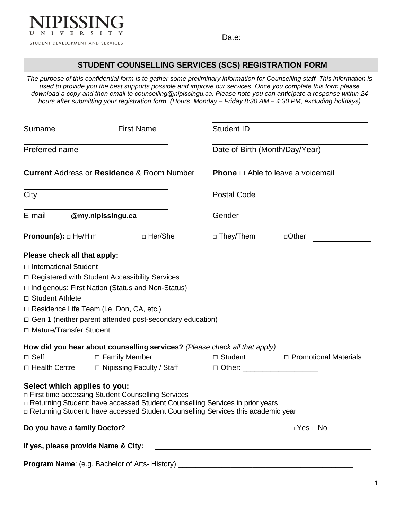

Date:

## **STUDENT COUNSELLING SERVICES (SCS) REGISTRATION FORM**

*The purpose of this confidential form is to gather some preliminary information for Counselling staff. This information is used to provide you the best supports possible and improve our services. Once you complete this form please download a copy and then email to [counselling@nipissingu.ca.](mailto:counselling@nipissingu.ca) Please note you can anticipate a response within 24 hours after submitting your registration form. (Hours: Monday – Friday 8:30 AM – 4:30 PM, excluding holidays)* 

| Surname                                          | <b>First Name</b> |                                                                 | <b>Student ID</b>                                                                                                                                                    |                                               |  |
|--------------------------------------------------|-------------------|-----------------------------------------------------------------|----------------------------------------------------------------------------------------------------------------------------------------------------------------------|-----------------------------------------------|--|
| Preferred name                                   |                   |                                                                 |                                                                                                                                                                      | Date of Birth (Month/Day/Year)                |  |
|                                                  |                   | <b>Current Address or Residence &amp; Room Number</b>           |                                                                                                                                                                      | <b>Phone</b> $\Box$ Able to leave a voicemail |  |
| City                                             |                   |                                                                 | <b>Postal Code</b>                                                                                                                                                   |                                               |  |
| E-mail<br>@my.nipissingu.ca                      |                   |                                                                 | Gender                                                                                                                                                               |                                               |  |
| <b>Pronoun(s):</b> $\Box$ He/Him                 |                   | □ Her/She                                                       | □ They/Them                                                                                                                                                          | $\Box$ Other                                  |  |
| Please check all that apply:                     |                   |                                                                 |                                                                                                                                                                      |                                               |  |
| $\Box$ International Student                     |                   |                                                                 |                                                                                                                                                                      |                                               |  |
| □ Registered with Student Accessibility Services |                   |                                                                 |                                                                                                                                                                      |                                               |  |
|                                                  |                   | □ Indigenous: First Nation (Status and Non-Status)              |                                                                                                                                                                      |                                               |  |
| □ Student Athlete                                |                   |                                                                 |                                                                                                                                                                      |                                               |  |
| □ Residence Life Team (i.e. Don, CA, etc.)       |                   |                                                                 |                                                                                                                                                                      |                                               |  |
|                                                  |                   | $\Box$ Gen 1 (neither parent attended post-secondary education) |                                                                                                                                                                      |                                               |  |
| □ Mature/Transfer Student                        |                   |                                                                 |                                                                                                                                                                      |                                               |  |
|                                                  |                   |                                                                 | How did you hear about counselling services? (Please check all that apply)                                                                                           |                                               |  |
| $\Box$ Self                                      | □ Family Member   |                                                                 | $\Box$ Student                                                                                                                                                       | $\Box$ Promotional Materials                  |  |
| □ Health Centre                                  |                   | □ Nipissing Faculty / Staff                                     | □ Other: ________________________                                                                                                                                    |                                               |  |
| Select which applies to you:                     |                   | □ First time accessing Student Counselling Services             | □ Returning Student: have accessed Student Counselling Services in prior years<br>□ Returning Student: have accessed Student Counselling Services this academic year |                                               |  |
| Do you have a family Doctor?                     |                   |                                                                 |                                                                                                                                                                      | □ Yes □ No                                    |  |
| If yes, please provide Name & City:              |                   |                                                                 |                                                                                                                                                                      |                                               |  |
|                                                  |                   |                                                                 | Program Name: (e.g. Bachelor of Arts-History) __________________________________                                                                                     |                                               |  |